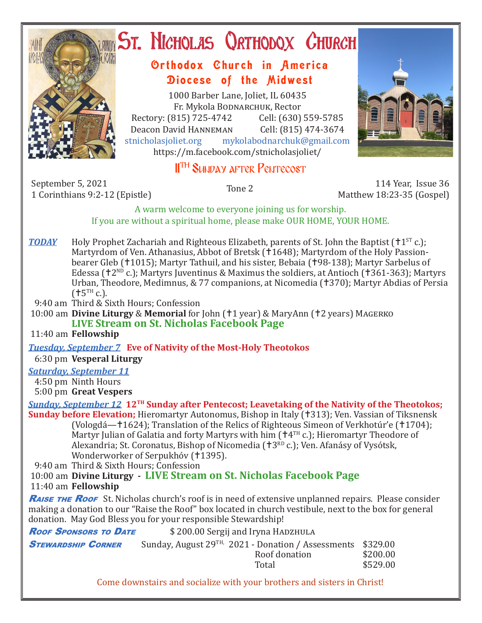

# **ST. NICHOLAS ORTHODOX CHURCH**

## Orthodox Church in America Diocese of the Midwest

1000 Barber Lane, Joliet, IL 60435 Fr. Mykola Bodnarchuk, Rector Rectory: (815) 725-4742 Cell: (630) 559-5785<br>Deacon David HANNEMAN Cell: (815) 474-3674 Deacon David HANNEMAN<br>stnicholasioliet.org mykola mykolabodnarchuk@gmail.com https://m.facebook.com/stnicholasjoliet/



# **IITH SUNDAY AFTER PENTECOST**

September 5, 2021 114 Year, Issue 36 (September 5, 2021<br>11 Corinthians 9:2-12 (Epistle) 1 Corinthians 9:2-12 (September 2 115 Matthew 18:23-35 (Gospel)

Matthew 18:23-35 (Gospel)

A warm welcome to everyone joining us for worship. If you are without a spiritual home, please make OUR HOME, YOUR HOME.

**TODAY** Holy Prophet Zachariah and Righteous Elizabeth, parents of St. John the Baptist ( $\uparrow$ 1<sup>ST</sup> c.); Martyrdom of Ven. Athanasius, Abbot of Bretsk (†1648); Martyrdom of the Holy Passionbearer Gleb (†1015); Martyr Tathuil, and his sister, Bebaia (†98-138); Martyr Sarbelus of Edessa ( $12^{ND}$  c.); Martyrs Juventinus & Maximus the soldiers, at Antioch ( $1361-363$ ); Martyrs Urban, Theodore, Medimnus, & 77 companions, at Nicomedia (†370); Martyr Abdias of Persia  $(†5^{TH} c.).$ 

9:40 am Third & Sixth Hours; Confession

10:00 am **Divine Liturgy** & **Memorial** for John (†1 year) & MaryAnn (†2 years) MAGERKO **LIVE Stream on St. Nicholas Facebook Page**

11:40 am **Fellowship**

*Tuesday, September 7* **Eve of Nativity of the Most-Holy Theotokos**

6:30 pm **Vesperal Liturgy**

## *Saturday, September 11*

4:50 pm Ninth Hours

5:00 pm **Great Vespers**

*Sunday, September 12* **12TH Sunday after Pentecost; Leavetaking of the Nativity of the Theotokos; Sunday before Elevation;** Hieromartyr Autonomus, Bishop in Italy (†313); Ven. Vassian of Tiksnensk (Vologdá—1624); Translation of the Relics of Righteous Simeon of Verkhotúr'e (1704); Martyr Julian of Galatia and forty Martyrs with him  $(\dagger 4^{TH} c.)$ ; Hieromartyr Theodore of Alexandria; St. Coronatus, Bishop of Nicomedia (†3<sup>RD</sup> c.); Ven. Afanásy of Vysótsk, Wonderworker of Serpukhóv (†1395).

9:40 am Third & Sixth Hours; Confession

 10:00 am **Divine Liturgy - LIVE Stream on St. Nicholas Facebook Page** 11:40 am **Fellowship**

**RAISE THE ROOF** St. Nicholas church's roof is in need of extensive unplanned repairs. Please consider making a donation to our "Raise the Roof" box located in church vestibule, next to the box for general donation. May God Bless you for your responsible Stewardship!

| <b>ROOF SPONSORS TO DATE</b> | \$200.00 Sergij and Iryna HADZHULA                                                       |                                  |  |  |  |
|------------------------------|------------------------------------------------------------------------------------------|----------------------------------|--|--|--|
| <b>STEWARDSHIP CORNER</b>    | Sunday, August 29 <sup>TH,</sup> 2021 - Donation / Assessments<br>Roof donation<br>Total | \$329.00<br>\$200.00<br>\$529.00 |  |  |  |
|                              | Come downstairs and socialize with your brothers and sisters in Christ!                  |                                  |  |  |  |